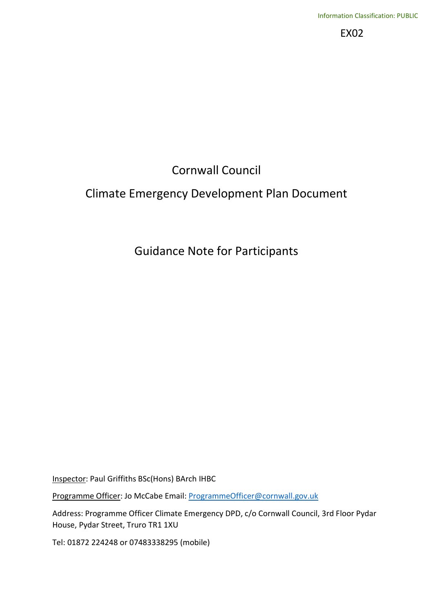EX02

# Cornwall Council

## Climate Emergency Development Plan Document

## Guidance Note for Participants

Inspector: Paul Griffiths BSc(Hons) BArch IHBC

Programme Officer: Jo McCabe Email: ProgrammeOfficer@cornwall.gov.uk

Address: Programme Officer Climate Emergency DPD, c/o Cornwall Council, 3rd Floor Pydar House, Pydar Street, Truro TR1 1XU

Tel: 01872 224248 or 07483338295 (mobile)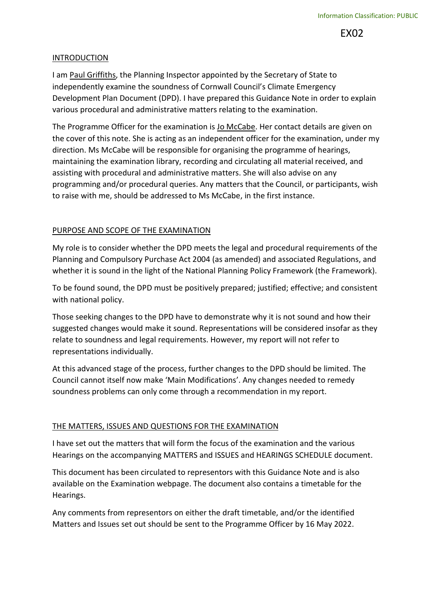EX02

#### INTRODUCTION

I am Paul Griffiths, the Planning Inspector appointed by the Secretary of State to independently examine the soundness of Cornwall Council's Climate Emergency Development Plan Document (DPD). I have prepared this Guidance Note in order to explain various procedural and administrative matters relating to the examination.

The Programme Officer for the examination is Jo McCabe. Her contact details are given on the cover of this note. She is acting as an independent officer for the examination, under my direction. Ms McCabe will be responsible for organising the programme of hearings, maintaining the examination library, recording and circulating all material received, and assisting with procedural and administrative matters. She will also advise on any programming and/or procedural queries. Any matters that the Council, or participants, wish to raise with me, should be addressed to Ms McCabe, in the first instance.

#### PURPOSE AND SCOPE OF THE EXAMINATION

My role is to consider whether the DPD meets the legal and procedural requirements of the Planning and Compulsory Purchase Act 2004 (as amended) and associated Regulations, and whether it is sound in the light of the National Planning Policy Framework (the Framework).

To be found sound, the DPD must be positively prepared; justified; effective; and consistent with national policy.

Those seeking changes to the DPD have to demonstrate why it is not sound and how their suggested changes would make it sound. Representations will be considered insofar as they relate to soundness and legal requirements. However, my report will not refer to representations individually.

At this advanced stage of the process, further changes to the DPD should be limited. The Council cannot itself now make 'Main Modifications'. Any changes needed to remedy soundness problems can only come through a recommendation in my report.

#### THE MATTERS, ISSUES AND QUESTIONS FOR THE EXAMINATION

I have set out the matters that will form the focus of the examination and the various Hearings on the accompanying MATTERS and ISSUES and HEARINGS SCHEDULE document.

This document has been circulated to representors with this Guidance Note and is also available on the Examination webpage. The document also contains a timetable for the Hearings.

Any comments from representors on either the draft timetable, and/or the identified Matters and Issues set out should be sent to the Programme Officer by 16 May 2022.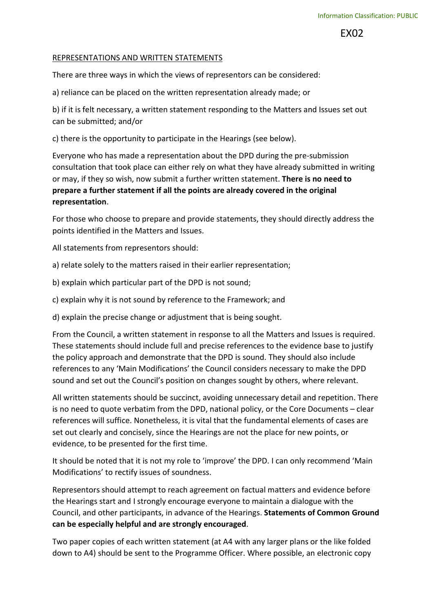EX02

#### REPRESENTATIONS AND WRITTEN STATEMENTS

There are three ways in which the views of representors can be considered:

a) reliance can be placed on the written representation already made; or

b) if it is felt necessary, a written statement responding to the Matters and Issues set out can be submitted; and/or

c) there is the opportunity to participate in the Hearings (see below).

Everyone who has made a representation about the DPD during the pre-submission consultation that took place can either rely on what they have already submitted in writing or may, if they so wish, now submit a further written statement. There is no need to prepare a further statement if all the points are already covered in the original representation.

For those who choose to prepare and provide statements, they should directly address the points identified in the Matters and Issues.

All statements from representors should:

a) relate solely to the matters raised in their earlier representation;

b) explain which particular part of the DPD is not sound;

c) explain why it is not sound by reference to the Framework; and

d) explain the precise change or adjustment that is being sought.

From the Council, a written statement in response to all the Matters and Issues is required. These statements should include full and precise references to the evidence base to justify the policy approach and demonstrate that the DPD is sound. They should also include references to any 'Main Modifications' the Council considers necessary to make the DPD sound and set out the Council's position on changes sought by others, where relevant.

All written statements should be succinct, avoiding unnecessary detail and repetition. There is no need to quote verbatim from the DPD, national policy, or the Core Documents – clear references will suffice. Nonetheless, it is vital that the fundamental elements of cases are set out clearly and concisely, since the Hearings are not the place for new points, or evidence, to be presented for the first time.

It should be noted that it is not my role to 'improve' the DPD. I can only recommend 'Main Modifications' to rectify issues of soundness.

Representors should attempt to reach agreement on factual matters and evidence before the Hearings start and I strongly encourage everyone to maintain a dialogue with the Council, and other participants, in advance of the Hearings. Statements of Common Ground can be especially helpful and are strongly encouraged.

Two paper copies of each written statement (at A4 with any larger plans or the like folded down to A4) should be sent to the Programme Officer. Where possible, an electronic copy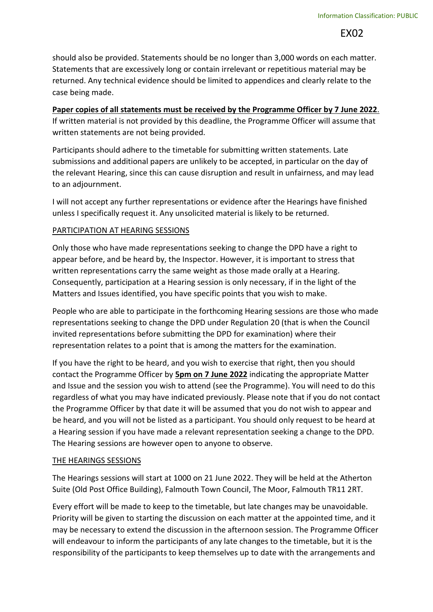should also be provided. Statements should be no longer than 3,000 words on each matter. Statements that are excessively long or contain irrelevant or repetitious material may be returned. Any technical evidence should be limited to appendices and clearly relate to the case being made.

## Paper copies of all statements must be received by the Programme Officer by 7 June 2022.

If written material is not provided by this deadline, the Programme Officer will assume that written statements are not being provided.

Participants should adhere to the timetable for submitting written statements. Late submissions and additional papers are unlikely to be accepted, in particular on the day of the relevant Hearing, since this can cause disruption and result in unfairness, and may lead to an adjournment.

I will not accept any further representations or evidence after the Hearings have finished unless I specifically request it. Any unsolicited material is likely to be returned.

## PARTICIPATION AT HEARING SESSIONS

Only those who have made representations seeking to change the DPD have a right to appear before, and be heard by, the Inspector. However, it is important to stress that written representations carry the same weight as those made orally at a Hearing. Consequently, participation at a Hearing session is only necessary, if in the light of the Matters and Issues identified, you have specific points that you wish to make.

People who are able to participate in the forthcoming Hearing sessions are those who made representations seeking to change the DPD under Regulation 20 (that is when the Council invited representations before submitting the DPD for examination) where their representation relates to a point that is among the matters for the examination.

If you have the right to be heard, and you wish to exercise that right, then you should contact the Programme Officer by 5pm on 7 June 2022 indicating the appropriate Matter and Issue and the session you wish to attend (see the Programme). You will need to do this regardless of what you may have indicated previously. Please note that if you do not contact the Programme Officer by that date it will be assumed that you do not wish to appear and be heard, and you will not be listed as a participant. You should only request to be heard at a Hearing session if you have made a relevant representation seeking a change to the DPD. The Hearing sessions are however open to anyone to observe.

## THE HEARINGS SESSIONS

The Hearings sessions will start at 1000 on 21 June 2022. They will be held at the Atherton Suite (Old Post Office Building), Falmouth Town Council, The Moor, Falmouth TR11 2RT.

Every effort will be made to keep to the timetable, but late changes may be unavoidable. Priority will be given to starting the discussion on each matter at the appointed time, and it may be necessary to extend the discussion in the afternoon session. The Programme Officer will endeavour to inform the participants of any late changes to the timetable, but it is the responsibility of the participants to keep themselves up to date with the arrangements and